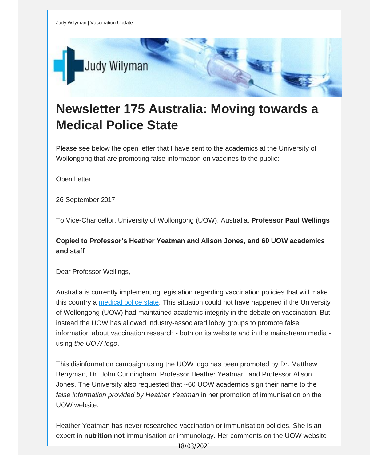

## **Newsletter 175 Australia: Moving towards a Medical Police State**

Please see below the open letter that I have sent to the academics at the University of Wollongong that are promoting false information on vaccines to the public:

Open Letter

26 September 2017

To Vice-Chancellor, University of Wollongong (UOW), Australia, **Professor Paul Wellings**

**Copied to Professor's Heather Yeatman and Alison Jones, and 60 UOW academics and staff**

Dear Professor Wellings,

Australia is currently implementing legislation regarding vaccination policies that will make this country a [medical](http://vaccinationdecisions.us8.list-manage.com/track/click?u=f20605fde3732e41929f4a3f2&id=a37a61e1ec&e=fec8337d3c) police state. This situation could not have happened if the University of Wollongong (UOW) had maintained academic integrity in the debate on vaccination. But instead the UOW has allowed industry-associated lobby groups to promote false information about vaccination research - both on its website and in the mainstream media using *the UOW logo*.

This disinformation campaign using the UOW logo has been promoted by Dr. Matthew Berryman, Dr. John Cunningham, Professor Heather Yeatman, and Professor Alison Jones. The University also requested that ~60 UOW academics sign their name to the *false information provided by Heather Yeatman* in her promotion of immunisation on the UOW website.

Heather Yeatman has never researched vaccination or immunisation policies. She is an expert in **nutrition not** immunisation or immunology. Her comments on the UOW website

18/03/2021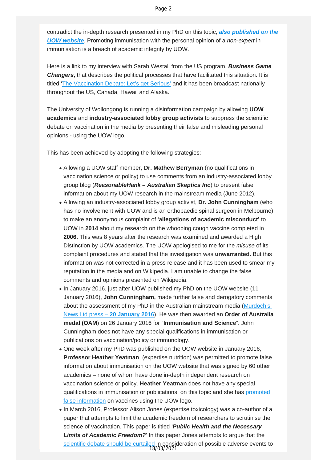contradict the in-depth research presented in my PhD on this topic, *[also published on the](http://vaccinationdecisions.us8.list-manage.com/track/click?u=f20605fde3732e41929f4a3f2&id=e5127b19e8&e=fec8337d3c) [UOW website](http://vaccinationdecisions.us8.list-manage.com/track/click?u=f20605fde3732e41929f4a3f2&id=e5127b19e8&e=fec8337d3c)*. Promoting immunisation with the personal opinion of a *non-expert* in immunisation is a breach of academic integrity by UOW.

Here is a link to my interview with Sarah Westall from the US program, *Business Game Changers*, that describes the political processes that have facilitated this situation. It is titled ['The Vaccination Debate: Let's get Serious'](http://vaccinationdecisions.us8.list-manage1.com/track/click?u=f20605fde3732e41929f4a3f2&id=ed5366d128&e=fec8337d3c) and it has been broadcast nationally throughout the US, Canada, Hawaii and Alaska.

The University of Wollongong is running a disinformation campaign by allowing **UOW academics** and **industry-associated lobby group activists** to suppress the scientific debate on vaccination in the media by presenting their false and misleading personal opinions - using the UOW logo.

This has been achieved by adopting the following strategies:

- Allowing a UOW staff member, **Dr. Mathew Berryman** (no qualifications in vaccination science or policy) to use comments from an industry-associated lobby group blog (*ReasonableHank – Australian Skeptics Inc*) to present false information about my UOW research in the mainstream media (June 2012).
- Allowing an industry-associated lobby group activist, **Dr. John Cunningham** (who has no involvement with UOW and is an orthopaedic spinal surgeon in Melbourne), to make an anonymous complaint of '**allegations of academic misconduct'** to UOW in **2014** about my research on the whooping cough vaccine completed in **2006.** This was 8 years after the research was examined and awarded a High Distinction by UOW academics. The UOW apologised to me for the *misuse* of its complaint procedures and stated that the investigation was **unwarranted.** But this information was not corrected in a press release and it has been used to smear my reputation in the media and on Wikipedia. I am unable to change the false comments and opinions presented on Wikipedia.
- In January 2016, just after UOW published my PhD on the UOW website (11 January 2016), **John Cunningham,** made further false and derogatory comments about the assessment of my PhD in the Australian mainstream media [\(Murdoch's](http://vaccinationdecisions.us8.list-manage1.com/track/click?u=f20605fde3732e41929f4a3f2&id=b96a25d7d8&e=fec8337d3c)  [News Ltd press –](http://vaccinationdecisions.us8.list-manage1.com/track/click?u=f20605fde3732e41929f4a3f2&id=b96a25d7d8&e=fec8337d3c) **20 January 2016**). He was then awarded an **Order of Australia medal (OAM**) on 26 January 2016 for "**Immunisation and Science**". John Cunningham does not have any special qualifications in immunisation or publications on vaccination/policy or immunology.
- One week after my PhD was published on the UOW website in January 2016, **Professor Heather Yeatman**, (expertise nutrition) was permitted to promote false information about immunisation on the UOW website that was signed by 60 other academics – none of whom have done in-depth independent research on vaccination science or policy. **Heather Yeatman** does not have any special qualifications in immunisation or publications on this topic and she has [promoted](http://vaccinationdecisions.us8.list-manage.com/track/click?u=f20605fde3732e41929f4a3f2&id=6be914f8d9&e=fec8337d3c) [false information](http://vaccinationdecisions.us8.list-manage.com/track/click?u=f20605fde3732e41929f4a3f2&id=6be914f8d9&e=fec8337d3c) on vaccines using the UOW logo.
- In March 2016, Professor Alison Jones (expertise toxicology) was a co-author of a paper that attempts to limit the academic freedom of researchers to scrutinise the science of vaccination. This paper is titled '*Public Health and the Necessary Limits of Academic Freedom?*' In this paper Jones attempts to argue that the [scientific debate should be curtailed](http://vaccinationdecisions.us8.list-manage1.com/track/click?u=f20605fde3732e41929f4a3f2&id=bf320bdb54&e=fec8337d3c) in consideration of possible adverse events to 18/03/2021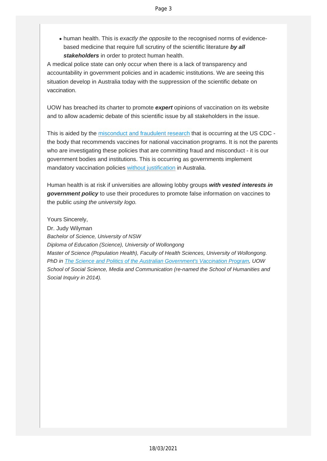human health. This is *exactly the opposite* to the recognised norms of evidencebased medicine that require full scrutiny of the scientific literature *by all stakeholders* in order to protect human health.

A medical police state can only occur when there is a lack of transparency and accountability in government policies and in academic institutions. We are seeing this situation develop in Australia today with the suppression of the scientific debate on vaccination.

UOW has breached its charter to promote *expert* opinions of vaccination on its website and to allow academic debate of this scientific issue by all stakeholders in the issue.

This is aided by the [misconduct](http://vaccinationdecisions.us8.list-manage.com/track/click?u=f20605fde3732e41929f4a3f2&id=bc9fe02d36&e=fec8337d3c) and fraudulent research that is occurring at the US CDC the body that recommends vaccines for national vaccination programs. It is not the parents who are investigating these policies that are committing fraud and misconduct - it is our government bodies and institutions. This is occurring as governments implement mandatory vaccination policies without [justification](http://vaccinationdecisions.us8.list-manage2.com/track/click?u=f20605fde3732e41929f4a3f2&id=7e6aebf256&e=fec8337d3c) in Australia.

Human health is at risk if universities are allowing lobby groups *with vested interests in government policy* to use their procedures to promote false information on vaccines to the public *using the university logo.*

Yours Sincerely, Dr. Judy Wilyman *Bachelor of Science, University of NSW Diploma of Education (Science), University of Wollongong Master of Science (Population Health), Faculty of Health Sciences, University of Wollongong. PhD in The Science and Politics of the Australian [Government's](http://vaccinationdecisions.us8.list-manage.com/track/click?u=f20605fde3732e41929f4a3f2&id=d23d73b4da&e=fec8337d3c) Vaccination Program, UOW School of Social Science, Media and Communication (re-named the School of Humanities and Social Inquiry in 2014).*